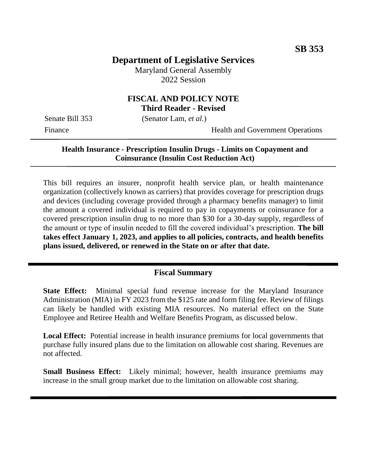# **Department of Legislative Services**

Maryland General Assembly 2022 Session

### **FISCAL AND POLICY NOTE Third Reader - Revised**

Senate Bill 353 (Senator Lam, *et al.*)

Finance Health and Government Operations

#### **Health Insurance - Prescription Insulin Drugs - Limits on Copayment and Coinsurance (Insulin Cost Reduction Act)**

This bill requires an insurer, nonprofit health service plan, or health maintenance organization (collectively known as carriers) that provides coverage for prescription drugs and devices (including coverage provided through a pharmacy benefits manager) to limit the amount a covered individual is required to pay in copayments or coinsurance for a covered prescription insulin drug to no more than \$30 for a 30-day supply, regardless of the amount or type of insulin needed to fill the covered individual's prescription. **The bill takes effect January 1, 2023, and applies to all policies, contracts, and health benefits plans issued, delivered, or renewed in the State on or after that date.** 

### **Fiscal Summary**

**State Effect:** Minimal special fund revenue increase for the Maryland Insurance Administration (MIA) in FY 2023 from the \$125 rate and form filing fee. Review of filings can likely be handled with existing MIA resources. No material effect on the State Employee and Retiree Health and Welfare Benefits Program, as discussed below.

**Local Effect:** Potential increase in health insurance premiums for local governments that purchase fully insured plans due to the limitation on allowable cost sharing. Revenues are not affected.

**Small Business Effect:** Likely minimal; however, health insurance premiums may increase in the small group market due to the limitation on allowable cost sharing.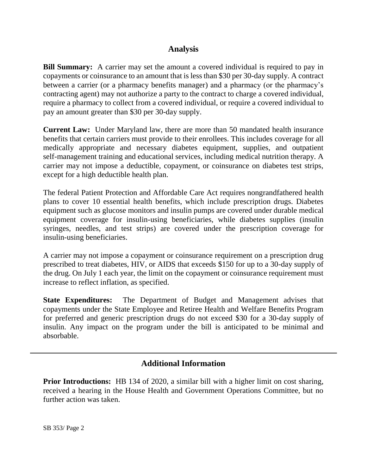### **Analysis**

**Bill Summary:** A carrier may set the amount a covered individual is required to pay in copayments or coinsurance to an amount that is less than \$30 per 30-day supply. A contract between a carrier (or a pharmacy benefits manager) and a pharmacy (or the pharmacy's contracting agent) may not authorize a party to the contract to charge a covered individual, require a pharmacy to collect from a covered individual, or require a covered individual to pay an amount greater than \$30 per 30-day supply.

**Current Law:** Under Maryland law, there are more than 50 mandated health insurance benefits that certain carriers must provide to their enrollees. This includes coverage for all medically appropriate and necessary diabetes equipment, supplies, and outpatient self-management training and educational services, including medical nutrition therapy. A carrier may not impose a deductible, copayment, or coinsurance on diabetes test strips, except for a high deductible health plan.

The federal Patient Protection and Affordable Care Act requires nongrandfathered health plans to cover 10 essential health benefits, which include prescription drugs. Diabetes equipment such as glucose monitors and insulin pumps are covered under durable medical equipment coverage for insulin-using beneficiaries, while diabetes supplies (insulin syringes, needles, and test strips) are covered under the prescription coverage for insulin-using beneficiaries.

A carrier may not impose a copayment or coinsurance requirement on a prescription drug prescribed to treat diabetes, HIV, or AIDS that exceeds \$150 for up to a 30-day supply of the drug. On July 1 each year, the limit on the copayment or coinsurance requirement must increase to reflect inflation, as specified.

**State Expenditures:** The Department of Budget and Management advises that copayments under the State Employee and Retiree Health and Welfare Benefits Program for preferred and generic prescription drugs do not exceed \$30 for a 30-day supply of insulin. Any impact on the program under the bill is anticipated to be minimal and absorbable.

## **Additional Information**

**Prior Introductions:** HB 134 of 2020, a similar bill with a higher limit on cost sharing, received a hearing in the House Health and Government Operations Committee, but no further action was taken.